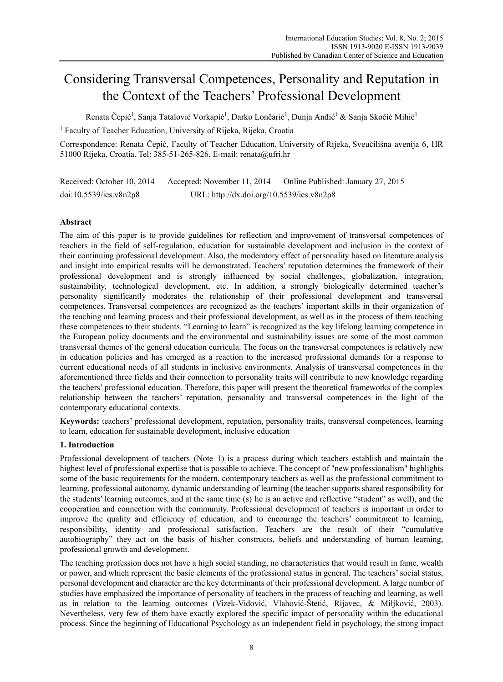# Considering Transversal Competences, Personality and Reputation in the Context of the Teachers' Professional Development

Renata Čepić<sup>1</sup>, Sanja Tatalović Vorkapić<sup>1</sup>, Darko Lončarić<sup>1</sup>, Dunja Anđić<sup>1</sup> & Sanja Skočić Mihić<sup>1</sup>

<sup>1</sup> Faculty of Teacher Education, University of Rijeka, Rijeka, Croatia

Correspondence: Renata Čepić, Faculty of Teacher Education, University of Rijeka, Sveučilišna avenija 6, HR 51000 Rijeka, Croatia. Tel: 385-51-265-826. E-mail: renata@ufri.hr

Received: October 10, 2014 Accepted: November 11, 2014 Online Published: January 27, 2015 doi:10.5539/ies.v8n2p8 URL: http://dx.doi.org/10.5539/ies.v8n2p8

# **Abstract**

The aim of this paper is to provide guidelines for reflection and improvement of transversal competences of teachers in the field of self-regulation, education for sustainable development and inclusion in the context of their continuing professional development. Also, the moderatory effect of personality based on literature analysis and insight into empirical results will be demonstrated. Teachers' reputation determines the framework of their professional development and is strongly influenced by social challenges, globalization, integration, sustainability, technological development, etc. In addition, a strongly biologically determined teacher's personality significantly moderates the relationship of their professional development and transversal competences. Transversal competences are recognized as the teachers' important skills in their organization of the teaching and learning process and their professional development, as well as in the process of them teaching these competences to their students. "Learning to learn" is recognized as the key lifelong learning competence in the European policy documents and the environmental and sustainability issues are some of the most common transversal themes of the general education curricula. The focus on the transversal competences is relatively new in education policies and has emerged as a reaction to the increased professional demands for a response to current educational needs of all students in inclusive environments. Analysis of transversal competences in the aforementioned three fields and their connection to personality traits will contribute to new knowledge regarding the teachers' professional education. Therefore, this paper will present the theoretical frameworks of the complex relationship between the teachers' reputation, personality and transversal competences in the light of the contemporary educational contexts.

**Keywords:** teachers' professional development, reputation, personality traits, transversal competences, learning to learn, education for sustainable development, inclusive education

# **1. Introduction**

Professional development of teachers (Note 1) is a process during which teachers establish and maintain the highest level of professional expertise that is possible to achieve. The concept of "new professionalism" highlights some of the basic requirements for the modern, contemporary teachers as well as the professional commitment to learning, professional autonomy, dynamic understanding of learning (the teacher supports shared responsibility for the students' learning outcomes, and at the same time (s) he is an active and reflective "student" as well), and the cooperation and connection with the community. Professional development of teachers is important in order to improve the quality and efficiency of education, and to encourage the teachers' commitment to learning, responsibility, identity and professional satisfaction. Teachers are the result of their "cumulative autobiography"–they act on the basis of his/her constructs, beliefs and understanding of human learning, professional growth and development.

The teaching profession does not have a high social standing, no characteristics that would result in fame, wealth or power, and which represent the basic elements of the professional status in general. The teachers' social status, personal development and character are the key determinants of their professional development. A large number of studies have emphasized the importance of personality of teachers in the process of teaching and learning, as well as in relation to the learning outcomes (Vizek-Vidović, Vlahović-Štetić, Rijavec, & Miljković, 2003). Nevertheless, very few of them have exactly explored the specific impact of personality within the educational process. Since the beginning of Educational Psychology as an independent field in psychology, the strong impact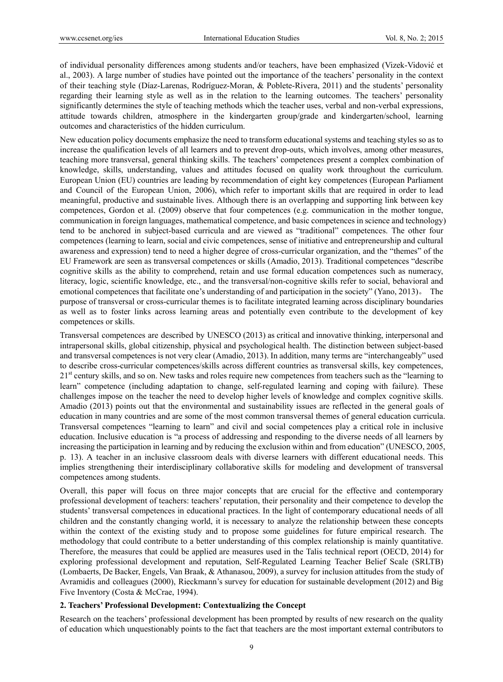of individual personality differences among students and/or teachers, have been emphasized (Vizek-Vidović et al., 2003). A large number of studies have pointed out the importance of the teachers' personality in the context of their teaching style (Díaz-Larenas, Rodríguez-Moran, & Poblete-Rivera, 2011) and the students' personality regarding their learning style as well as in the relation to the learning outcomes. The teachers' personality significantly determines the style of teaching methods which the teacher uses, verbal and non-verbal expressions, attitude towards children, atmosphere in the kindergarten group/grade and kindergarten/school, learning outcomes and characteristics of the hidden curriculum.

New education policy documents emphasize the need to transform educational systems and teaching styles so as to increase the qualification levels of all learners and to prevent drop-outs, which involves, among other measures, teaching more transversal, general thinking skills. The teachers' competences present a complex combination of knowledge, skills, understanding, values and attitudes focused on quality work throughout the curriculum. European Union (EU) countries are leading by recommendation of eight key competences (European Parliament and Council of the European Union, 2006), which refer to important skills that are required in order to lead meaningful, productive and sustainable lives. Although there is an overlapping and supporting link between key competences, Gordon et al. (2009) observe that four competences (e.g. communication in the mother tongue, communication in foreign languages, mathematical competence, and basic competences in science and technology) tend to be anchored in subject-based curricula and are viewed as "traditional" competences. The other four competences (learning to learn, social and civic competences, sense of initiative and entrepreneurship and cultural awareness and expression) tend to need a higher degree of cross-curricular organization, and the "themes" of the EU Framework are seen as transversal competences or skills (Amadio, 2013). Traditional competences "describe cognitive skills as the ability to comprehend, retain and use formal education competences such as numeracy, literacy, logic, scientific knowledge, etc., and the transversal/non-cognitive skills refer to social, behavioral and emotional competences that facilitate one's understanding of and participation in the society" (Yano, 2013)。 The purpose of transversal or cross-curricular themes is to facilitate integrated learning across disciplinary boundaries as well as to foster links across learning areas and potentially even contribute to the development of key competences or skills.

Transversal competences are described by UNESCO (2013) as critical and innovative thinking, interpersonal and intrapersonal skills, global citizenship, physical and psychological health. The distinction between subject-based and transversal competences is not very clear (Amadio, 2013). In addition, many terms are "interchangeably" used to describe cross-curricular competences/skills across different countries as transversal skills, key competences, 21<sup>st</sup> century skills, and so on. New tasks and roles require new competences from teachers such as the "learning to learn" competence (including adaptation to change, self-regulated learning and coping with failure). These challenges impose on the teacher the need to develop higher levels of knowledge and complex cognitive skills. Amadio (2013) points out that the environmental and sustainability issues are reflected in the general goals of education in many countries and are some of the most common transversal themes of general education curricula. Transversal competences "learning to learn" and civil and social competences play a critical role in inclusive education. Inclusive education is "a process of addressing and responding to the diverse needs of all learners by increasing the participation in learning and by reducing the exclusion within and from education" (UNESCO, 2005, p. 13). A teacher in an inclusive classroom deals with diverse learners with different educational needs. This implies strengthening their interdisciplinary collaborative skills for modeling and development of transversal competences among students.

Overall, this paper will focus on three major concepts that are crucial for the effective and contemporary professional development of teachers: teachers' reputation, their personality and their competence to develop the students' transversal competences in educational practices. In the light of contemporary educational needs of all children and the constantly changing world, it is necessary to analyze the relationship between these concepts within the context of the existing study and to propose some guidelines for future empirical research. The methodology that could contribute to a better understanding of this complex relationship is mainly quantitative. Therefore, the measures that could be applied are measures used in the Talis technical report (OECD, 2014) for exploring professional development and reputation, Self-Regulated Learning Teacher Belief Scale (SRLTB) (Lombaerts, De Backer, Engels, Van Braak, & Athanasou, 2009), a survey for inclusion attitudes from the study of Avramidis and colleagues (2000), Rieckmann's survey for education for sustainable development (2012) and Big Five Inventory (Costa & McCrae, 1994).

## **2. Teachers' Professional Development: Contextualizing the Concept**

Research on the teachers' professional development has been prompted by results of new research on the quality of education which unquestionably points to the fact that teachers are the most important external contributors to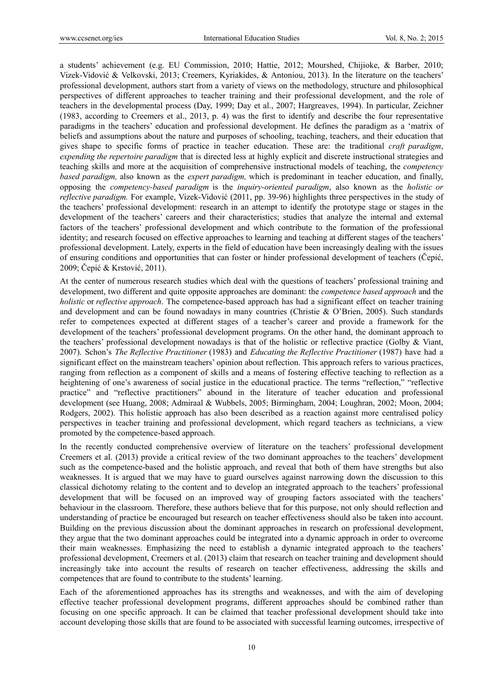a students' achievement (e.g. EU Commission, 2010; Hattie, 2012; Mourshed, Chijioke, & Barber, 2010; Vizek-Vidović & Velkovski, 2013; Creemers, Kyriakides, & Antoniou, 2013). In the literature on the teachers' professional development, authors start from a variety of views on the methodology, structure and philosophical perspectives of different approaches to teacher training and their professional development, and the role of teachers in the developmental process (Day, 1999; Day et al., 2007; Hargreaves, 1994). In particular, Zeichner (1983, according to Creemers et al., 2013, p. 4) was the first to identify and describe the four representative paradigms in the teachers' education and professional development. He defines the paradigm as a 'matrix of beliefs and assumptions about the nature and purposes of schooling, teaching, teachers, and their education that gives shape to specific forms of practice in teacher education. These are: the traditional *craft paradigm*, *expending the repertoire paradigm* that is directed less at highly explicit and discrete instructional strategies and teaching skills and more at the acquisition of comprehensive instructional models of teaching, the *competency based paradigm,* also known as the *expert paradigm,* which is predominant in teacher education, and finally, opposing the *competency-based paradigm* is the *inquiry-oriented paradigm*, also known as the *holistic or reflective paradigm.* For example, Vizek-Vidović (2011, pp. 39-96) highlights three perspectives in the study of the teachers' professional development: research in an attempt to identify the prototype stage or stages in the development of the teachers' careers and their characteristics; studies that analyze the internal and external factors of the teachers' professional development and which contribute to the formation of the professional identity; and research focused on effective approaches to learning and teaching at different stages of the teachers' professional development. Lately, experts in the field of education have been increasingly dealing with the issues of ensuring conditions and opportunities that can foster or hinder professional development of teachers (Čepić, 2009; Čepić & Krstović, 2011).

At the center of numerous research studies which deal with the questions of teachers' professional training and development, two different and quite opposite approaches are dominant: the *competence based approach* and the *holistic* or *reflective approach*. The competence-based approach has had a significant effect on teacher training and development and can be found nowadays in many countries (Christie & O'Brien, 2005). Such standards refer to competences expected at different stages of a teacher's career and provide a framework for the development of the teachers' professional development programs. On the other hand, the dominant approach to the teachers' professional development nowadays is that of the holistic or reflective practice (Golby & Viant, 2007). Schon's *The Reflective Practitioner* (1983) and *Educating the Reflective Practitioner* (1987) have had a significant effect on the mainstream teachers' opinion about reflection. This approach refers to various practices, ranging from reflection as a component of skills and a means of fostering effective teaching to reflection as a heightening of one's awareness of social justice in the educational practice. The terms "reflection," "reflective practice" and "reflective practitioners" abound in the literature of teacher education and professional development (see Huang, 2008; Admiraal & Wubbels, 2005; Birmingham, 2004; Loughran, 2002; Moon, 2004; Rodgers, 2002). This holistic approach has also been described as a reaction against more centralised policy perspectives in teacher training and professional development, which regard teachers as technicians, a view promoted by the competence-based approach.

In the recently conducted comprehensive overview of literature on the teachers' professional development Creemers et al. (2013) provide a critical review of the two dominant approaches to the teachers' development such as the competence-based and the holistic approach, and reveal that both of them have strengths but also weaknesses. It is argued that we may have to guard ourselves against narrowing down the discussion to this classical dichotomy relating to the content and to develop an integrated approach to the teachers' professional development that will be focused on an improved way of grouping factors associated with the teachers' behaviour in the classroom. Therefore, these authors believe that for this purpose, not only should reflection and understanding of practice be encouraged but research on teacher effectiveness should also be taken into account. Building on the previous discussion about the dominant approaches in research on professional development, they argue that the two dominant approaches could be integrated into a dynamic approach in order to overcome their main weaknesses. Emphasizing the need to establish a dynamic integrated approach to the teachers' professional development, Creemers et al. (2013) claim that research on teacher training and development should increasingly take into account the results of research on teacher effectiveness, addressing the skills and competences that are found to contribute to the students' learning.

Each of the aforementioned approaches has its strengths and weaknesses, and with the aim of developing effective teacher professional development programs, different approaches should be combined rather than focusing on one specific approach. It can be claimed that teacher professional development should take into account developing those skills that are found to be associated with successful learning outcomes, irrespective of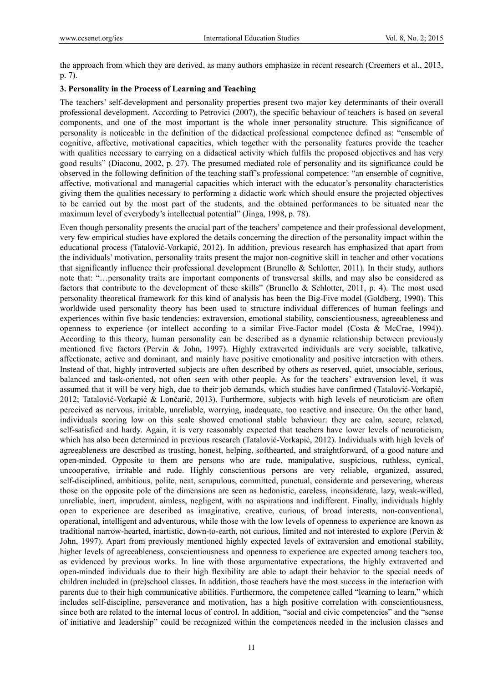the approach from which they are derived, as many authors emphasize in recent research (Creemers et al., 2013, p. 7).

## **3. Personality in the Process of Learning and Teaching**

The teachers' self-development and personality properties present two major key determinants of their overall professional development. According to Petrovici (2007), the specific behaviour of teachers is based on several components, and one of the most important is the whole inner personality structure. This significance of personality is noticeable in the definition of the didactical professional competence defined as: "ensemble of cognitive, affective, motivational capacities, which together with the personality features provide the teacher with qualities necessary to carrying on a didactical activity which fulfils the proposed objectives and has very good results" (Diaconu, 2002, p. 27). The presumed mediated role of personality and its significance could be observed in the following definition of the teaching staff's professional competence: "an ensemble of cognitive, affective, motivational and managerial capacities which interact with the educator's personality characteristics giving them the qualities necessary to performing a didactic work which should ensure the projected objectives to be carried out by the most part of the students, and the obtained performances to be situated near the maximum level of everybody's intellectual potential" (Jinga, 1998, p. 78).

Even though personality presents the crucial part of the teachers' competence and their professional development, very few empirical studies have explored the details concerning the direction of the personality impact within the educational process (Tatalović-Vorkapić, 2012). In addition, previous research has emphasized that apart from the individuals' motivation, personality traits present the major non-cognitive skill in teacher and other vocations that significantly influence their professional development (Brunello & Schlotter, 2011). In their study, authors note that: "…personality traits are important components of transversal skills, and may also be considered as factors that contribute to the development of these skills" (Brunello & Schlotter, 2011, p. 4). The most used personality theoretical framework for this kind of analysis has been the Big-Five model (Goldberg, 1990). This worldwide used personality theory has been used to structure individual differences of human feelings and experiences within five basic tendencies: extraversion, emotional stability, conscientiousness, agreeableness and openness to experience (or intellect according to a similar Five-Factor model (Costa & McCrae, 1994)). According to this theory, human personality can be described as a dynamic relationship between previously mentioned five factors (Pervin & John, 1997). Highly extraverted individuals are very sociable, talkative, affectionate, active and dominant, and mainly have positive emotionality and positive interaction with others. Instead of that, highly introverted subjects are often described by others as reserved, quiet, unsociable, serious, balanced and task-oriented, not often seen with other people. As for the teachers' extraversion level, it was assumed that it will be very high, due to their job demands, which studies have confirmed (Tatalović-Vorkapić, 2012; Tatalović-Vorkapić & Lončarić, 2013). Furthermore, subjects with high levels of neuroticism are often perceived as nervous, irritable, unreliable, worrying, inadequate, too reactive and insecure. On the other hand, individuals scoring low on this scale showed emotional stable behaviour: they are calm, secure, relaxed, self-satisfied and hardy. Again, it is very reasonably expected that teachers have lower levels of neuroticism, which has also been determined in previous research (Tatalović-Vorkapić, 2012). Individuals with high levels of agreeableness are described as trusting, honest, helping, softhearted, and straightforward, of a good nature and open-minded. Opposite to them are persons who are rude, manipulative, suspicious, ruthless, cynical, uncooperative, irritable and rude. Highly conscientious persons are very reliable, organized, assured, self-disciplined, ambitious, polite, neat, scrupulous, committed, punctual, considerate and persevering, whereas those on the opposite pole of the dimensions are seen as hedonistic, careless, inconsiderate, lazy, weak-willed, unreliable, inert, imprudent, aimless, negligent, with no aspirations and indifferent. Finally, individuals highly open to experience are described as imaginative, creative, curious, of broad interests, non-conventional, operational, intelligent and adventurous, while those with the low levels of openness to experience are known as traditional narrow-hearted, inartistic, down-to-earth, not curious, limited and not interested to explore (Pervin & John, 1997). Apart from previously mentioned highly expected levels of extraversion and emotional stability, higher levels of agreeableness, conscientiousness and openness to experience are expected among teachers too, as evidenced by previous works. In line with those argumentative expectations, the highly extraverted and open-minded individuals due to their high flexibility are able to adapt their behavior to the special needs of children included in (pre)school classes. In addition, those teachers have the most success in the interaction with parents due to their high communicative abilities. Furthermore, the competence called "learning to learn," which includes self-discipline, perseverance and motivation, has a high positive correlation with conscientiousness, since both are related to the internal locus of control. In addition, "social and civic competencies" and the "sense of initiative and leadership" could be recognized within the competences needed in the inclusion classes and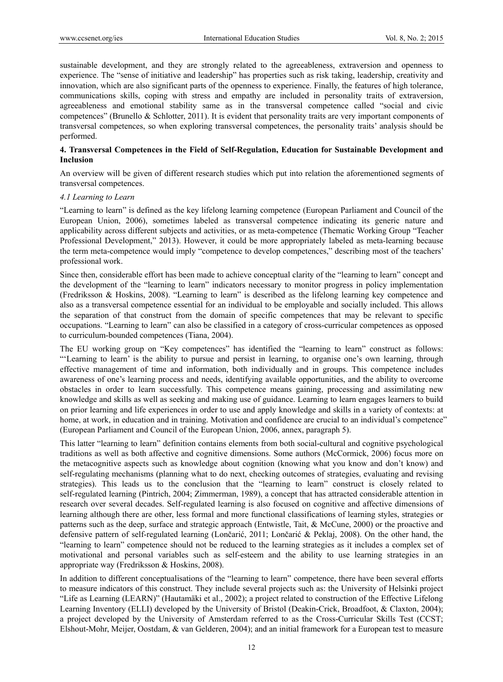sustainable development, and they are strongly related to the agreeableness, extraversion and openness to experience. The "sense of initiative and leadership" has properties such as risk taking, leadership, creativity and innovation, which are also significant parts of the openness to experience. Finally, the features of high tolerance, communications skills, coping with stress and empathy are included in personality traits of extraversion, agreeableness and emotional stability same as in the transversal competence called "social and civic competences" (Brunello & Schlotter, 2011). It is evident that personality traits are very important components of transversal competences, so when exploring transversal competences, the personality traits' analysis should be performed.

## **4. Transversal Competences in the Field of Self-Regulation, Education for Sustainable Development and Inclusion**

An overview will be given of different research studies which put into relation the aforementioned segments of transversal competences.

#### *4.1 Learning to Learn*

"Learning to learn" is defined as the key lifelong learning competence (European Parliament and Council of the European Union, 2006), sometimes labeled as transversal competence indicating its generic nature and applicability across different subjects and activities, or as meta-competence (Thematic Working Group "Teacher Professional Development," 2013). However, it could be more appropriately labeled as meta-learning because the term meta-competence would imply "competence to develop competences," describing most of the teachers' professional work.

Since then, considerable effort has been made to achieve conceptual clarity of the "learning to learn" concept and the development of the "learning to learn" indicators necessary to monitor progress in policy implementation (Fredriksson & Hoskins, 2008). "Learning to learn" is described as the lifelong learning key competence and also as a transversal competence essential for an individual to be employable and socially included. This allows the separation of that construct from the domain of specific competences that may be relevant to specific occupations. "Learning to learn" can also be classified in a category of cross-curricular competences as opposed to curriculum-bounded competences (Tiana, 2004).

The EU working group on "Key competences" has identified the "learning to learn" construct as follows: "'Learning to learn' is the ability to pursue and persist in learning, to organise one's own learning, through effective management of time and information, both individually and in groups. This competence includes awareness of one's learning process and needs, identifying available opportunities, and the ability to overcome obstacles in order to learn successfully. This competence means gaining, processing and assimilating new knowledge and skills as well as seeking and making use of guidance. Learning to learn engages learners to build on prior learning and life experiences in order to use and apply knowledge and skills in a variety of contexts: at home, at work, in education and in training. Motivation and confidence are crucial to an individual's competence" (European Parliament and Council of the European Union, 2006, annex, paragraph 5).

This latter "learning to learn" definition contains elements from both social-cultural and cognitive psychological traditions as well as both affective and cognitive dimensions. Some authors (McCormick, 2006) focus more on the metacognitive aspects such as knowledge about cognition (knowing what you know and don't know) and self-regulating mechanisms (planning what to do next, checking outcomes of strategies, evaluating and revising strategies). This leads us to the conclusion that the "learning to learn" construct is closely related to self-regulated learning (Pintrich, 2004; Zimmerman, 1989), a concept that has attracted considerable attention in research over several decades. Self-regulated learning is also focused on cognitive and affective dimensions of learning although there are other, less formal and more functional classifications of learning styles, strategies or patterns such as the deep, surface and strategic approach (Entwistle, Tait, & McCune, 2000) or the proactive and defensive pattern of self-regulated learning (Lončarić, 2011; Lončarić & Peklaj, 2008). On the other hand, the "learning to learn" competence should not be reduced to the learning strategies as it includes a complex set of motivational and personal variables such as self-esteem and the ability to use learning strategies in an appropriate way (Fredriksson & Hoskins, 2008).

In addition to different conceptualisations of the "learning to learn" competence, there have been several efforts to measure indicators of this construct. They include several projects such as: the University of Helsinki project "Life as Learning (LEARN)" (Hautamäki et al., 2002); a project related to construction of the Effective Lifelong Learning Inventory (ELLI) developed by the University of Bristol (Deakin-Crick, Broadfoot, & Claxton, 2004); a project developed by the University of Amsterdam referred to as the Cross-Curricular Skills Test (CCST; Elshout-Mohr, Meijer, Oostdam, & van Gelderen, 2004); and an initial framework for a European test to measure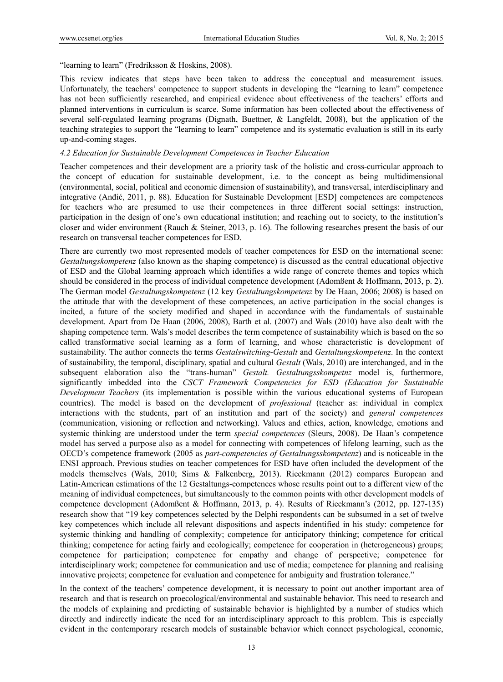"learning to learn" (Fredriksson & Hoskins, 2008).

This review indicates that steps have been taken to address the conceptual and measurement issues. Unfortunately, the teachers' competence to support students in developing the "learning to learn" competence has not been sufficiently researched, and empirical evidence about effectiveness of the teachers' efforts and planned interventions in curriculum is scarce. Some information has been collected about the effectiveness of several self-regulated learning programs (Dignath, Buettner, & Langfeldt, 2008), but the application of the teaching strategies to support the "learning to learn" competence and its systematic evaluation is still in its early up-and-coming stages.

#### *4.2 Education for Sustainable Development Competences in Teacher Education*

Teacher competences and their development are a priority task of the holistic and cross-curricular approach to the concept of education for sustainable development, i.e. to the concept as being multidimensional (environmental, social, political and economic dimension of sustainability), and transversal, interdisciplinary and integrative (Anđić, 2011, p. 88). Education for Sustainable Development [ESD] competences are competences for teachers who are presumed to use their competences in three different social settings: instruction, participation in the design of one's own educational institution; and reaching out to society, to the institution's closer and wider environment (Rauch & Steiner, 2013, p. 16). The following researches present the basis of our research on transversal teacher competences for ESD.

There are currently two most represented models of teacher competences for ESD on the international scene: *Gestaltungskompetenz* (also known as the shaping competence) is discussed as the central educational objective of ESD and the Global learning approach which identifies a wide range of concrete themes and topics which should be considered in the process of individual competence development (Adomßent & Hoffmann, 2013, p. 2). The German model *Gestaltungskompetenz* (12 key *Gestaltungskompetenz* by De Haan, 2006; 2008) is based on the attitude that with the development of these competences, an active participation in the social changes is incited, a future of the society modified and shaped in accordance with the fundamentals of sustainable development. Apart from De Haan (2006, 2008), Barth et al. (2007) and Wals (2010) have also dealt with the shaping competence term. Wals's model describes the term competence of sustainability which is based on the so called transformative social learning as a form of learning, and whose characteristic is development of sustainability. The author connects the terms *Gestalswitching*-*Gestalt* and *Gestaltungskompetenz*. In the context of sustainability, the temporal, disciplinary, spatial and cultural *Gestalt* (Wals, 2010) are interchanged, and in the subsequent elaboration also the "trans-human" *Gestalt. Gestaltungsskompetnz* model is, furthermore, significantly imbedded into the *CSCT Framework Competencies for ESD (Education for Sustainable Development Teachers* (its implementation is possible within the various educational systems of European countries). The model is based on the development of *professional* (teacher as: individual in complex interactions with the students, part of an institution and part of the society) and *general competences* (communication, visioning or reflection and networking). Values and ethics, action, knowledge, emotions and systemic thinking are understood under the term *special competences* (Sleurs, 2008). De Haan's competence model has served a purpose also as a model for connecting with competences of lifelong learning, such as the OECD's competence framework (2005 as *part-competencies of Gestaltungsskompetenz*) and is noticeable in the ENSI approach. Previous studies on teacher competences for ESD have often included the development of the models themselves (Wals, 2010; Sims & Falkenberg, 2013). Rieckmann (2012) compares European and Latin-American estimations of the 12 Gestaltungs-competences whose results point out to a different view of the meaning of individual competences, but simultaneously to the common points with other development models of competence development (Adomßent & Hoffmann, 2013, p. 4). Results of Rieckmann's (2012, pp. 127-135) research show that "19 key competences selected by the Delphi respondents can be subsumed in a set of twelve key competences which include all relevant dispositions and aspects indentified in his study: competence for systemic thinking and handling of complexity; competence for anticipatory thinking; competence for critical thinking; competence for acting fairly and ecologically; competence for cooperation in (heterogeneous) groups; competence for participation; competence for empathy and change of perspective; competence for interdisciplinary work; competence for communication and use of media; competence for planning and realising innovative projects; competence for evaluation and competence for ambiguity and frustration tolerance."

In the context of the teachers' competence development, it is necessary to point out another important area of research–and that is research on proecological/environmental and sustainable behavior. This need to research and the models of explaining and predicting of sustainable behavior is highlighted by a number of studies which directly and indirectly indicate the need for an interdisciplinary approach to this problem. This is especially evident in the contemporary research models of sustainable behavior which connect psychological, economic,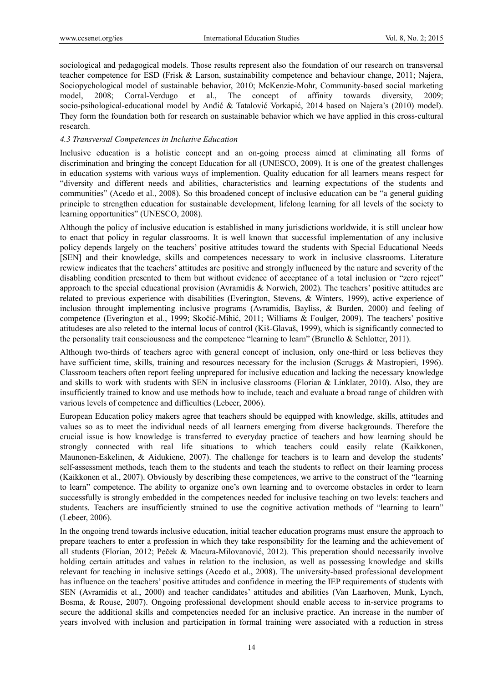sociological and pedagogical models. Those results represent also the foundation of our research on transversal teacher competence for ESD (Frisk & Larson, sustainability competence and behaviour change, 2011; Najera, Sociopychological model of sustainable behavior, 2010; McKenzie-Mohr, Community-based social marketing model, 2008; Corral-Verdugo et al., The concept of affinity towards diversity, 2009; socio-psihological-educational model by Anđić & Tatalović Vorkapić, 2014 based on Najera's (2010) model). They form the foundation both for research on sustainable behavior which we have applied in this cross-cultural research.

#### *4.3 Transversal Competences in Inclusive Education*

Inclusive education is a holistic concept and an on-going process aimed at eliminating all forms of discrimination and bringing the concept Education for all (UNESCO, 2009). It is one of the greatest challenges in education systems with various ways of implemention. Quality education for all learners means respect for "diversity and different needs and abilities, characteristics and learning expectations of the students and communities" (Acedo et al., 2008). So this broadened concept of inclusive education can be "a general guiding principle to strengthen education for sustainable development, lifelong learning for all levels of the society to learning opportunities" (UNESCO, 2008).

Although the policy of inclusive education is established in many jurisdictions worldwide, it is still unclear how to enact that policy in regular classrooms. It is well known that successful implementation of any inclusive policy depends largely on the teachers' positive attitudes toward the students with Special Educational Needs [SEN] and their knowledge, skills and competences necessary to work in inclusive classrooms. Literature rewiew indicates that the teachers' attitudes are positive and strongly influenced by the nature and severity of the disabling condition presented to them but without evidence of acceptance of a total inclusion or "zero reject" approach to the special educational provision (Avramidis & Norwich, 2002). The teachers' positive attitudes are related to previous experience with disabilities (Everington, Stevens, & Winters, 1999), active experience of inclusion throught implementing inclusive programs (Avramidis, Bayliss, & Burden, 2000) and feeling of competence (Everington et al., 1999; Skočić-Mihić, 2011; Williams & Foulger, 2009). The teachers' positive atitudeses are also releted to the internal locus of control (Kiš-Glavaš, 1999), which is significantly connected to the personality trait consciousness and the competence "learning to learn" (Brunello & Schlotter, 2011).

Although two-thirds of teachers agree with general concept of inclusion, only one-third or less believes they have sufficient time, skills, training and resources necessary for the inclusion (Scruggs & Mastropieri, 1996). Classroom teachers often report feeling unprepared for inclusive education and lacking the necessary knowledge and skills to work with students with SEN in inclusive classrooms (Florian  $\&$  Linklater, 2010). Also, they are insufficiently trained to know and use methods how to include, teach and evaluate a broad range of children with various levels of competence and difficulties (Lebeer, 2006).

European Education policy makers agree that teachers should be equipped with knowledge, skills, attitudes and values so as to meet the individual needs of all learners emerging from diverse backgrounds. Therefore the crucial issue is how knowledge is transferred to everyday practice of teachers and how learning should be strongly connected with real life situations to which teachers could easily relate (Kaikkonen, Maunonen-Eskelinen, & Aidukiene, 2007). The challenge for teachers is to learn and develop the students' self-assessment methods, teach them to the students and teach the students to reflect on their learning process (Kaikkonen et al., 2007). Obviously by describing these competences, we arrive to the construct of the "learning to learn" competence. The ability to organize one's own learning and to overcome obstacles in order to learn successfully is strongly embedded in the competences needed for inclusive teaching on two levels: teachers and students. Teachers are insufficiently strained to use the cognitive activation methods of "learning to learn" (Lebeer, 2006).

In the ongoing trend towards inclusive education, initial teacher education programs must ensure the approach to prepare teachers to enter a profession in which they take responsibility for the learning and the achievement of all students (Florian, 2012; Peček & Macura-Milovanović, 2012). This preperation should necessarily involve holding certain attitudes and values in relation to the inclusion, as well as possessing knowledge and skills relevant for teaching in inclusive settings (Acedo et al., 2008). The university-based professional development has influence on the teachers' positive attitudes and confidence in meeting the IEP requirements of students with SEN (Avramidis et al., 2000) and teacher candidates' attitudes and abilities (Van Laarhoven, Munk, Lynch, Bosma, & Rouse, 2007). Ongoing professional development should enable access to in-service programs to secure the additional skills and competencies needed for an inclusive practice. An increase in the number of years involved with inclusion and participation in formal training were associated with a reduction in stress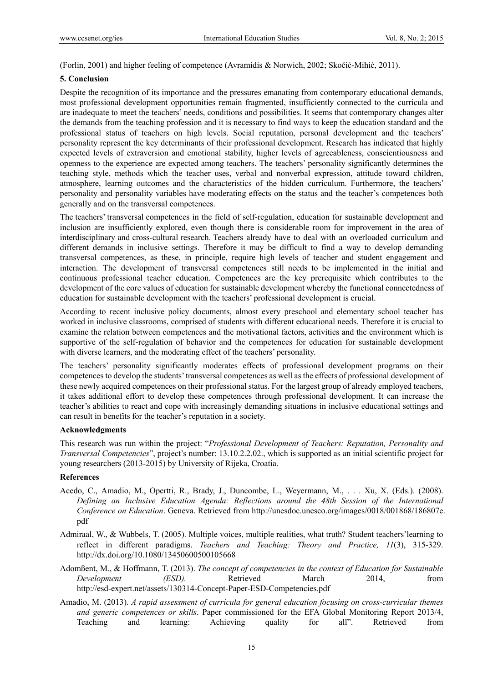(Forlin, 2001) and higher feeling of competence (Avramidis & Norwich, 2002; Skočić-Mihić, 2011).

## **5. Conclusion**

Despite the recognition of its importance and the pressures emanating from contemporary educational demands, most professional development opportunities remain fragmented, insufficiently connected to the curricula and are inadequate to meet the teachers' needs, conditions and possibilities. It seems that contemporary changes alter the demands from the teaching profession and it is necessary to find ways to keep the education standard and the professional status of teachers on high levels. Social reputation, personal development and the teachers' personality represent the key determinants of their professional development. Research has indicated that highly expected levels of extraversion and emotional stability, higher levels of agreeableness, conscientiousness and openness to the experience are expected among teachers. The teachers' personality significantly determines the teaching style, methods which the teacher uses, verbal and nonverbal expression, attitude toward children, atmosphere, learning outcomes and the characteristics of the hidden curriculum. Furthermore, the teachers' personality and personality variables have moderating effects on the status and the teacher's competences both generally and on the transversal competences.

The teachers' transversal competences in the field of self-regulation, education for sustainable development and inclusion are insufficiently explored, even though there is considerable room for improvement in the area of interdisciplinary and cross-cultural research. Teachers already have to deal with an overloaded curriculum and different demands in inclusive settings. Therefore it may be difficult to find a way to develop demanding transversal competences, as these, in principle, require high levels of teacher and student engagement and interaction. The development of transversal competences still needs to be implemented in the initial and continuous professional teacher education. Competences are the key prerequisite which contributes to the development of the core values of education for sustainable development whereby the functional connectedness of education for sustainable development with the teachers' professional development is crucial.

According to recent inclusive policy documents, almost every preschool and elementary school teacher has worked in inclusive classrooms, comprised of students with different educational needs. Therefore it is crucial to examine the relation between competences and the motivational factors, activities and the environment which is supportive of the self-regulation of behavior and the competences for education for sustainable development with diverse learners, and the moderating effect of the teachers' personality.

The teachers' personality significantly moderates effects of professional development programs on their competences to develop the students' transversal competences as well as the effects of professional development of these newly acquired competences on their professional status. For the largest group of already employed teachers, it takes additional effort to develop these competences through professional development. It can increase the teacher's abilities to react and cope with increasingly demanding situations in inclusive educational settings and can result in benefits for the teacher's reputation in a society.

## **Acknowledgments**

This research was run within the project: "*Professional Development of Teachers: Reputation, Personality and Transversal Competencies*", project's number: 13.10.2.2.02., which is supported as an initial scientific project for young researchers (2013-2015) by University of Rijeka, Croatia.

## **References**

- Acedo, C., Amadio, M., Opertti, R., Brady, J., Duncombe, L., Weyermann, M., . . . Xu, X. (Eds.). (2008). *Defining an Inclusive Education Agenda: Reflections around the 48th Session of the International Conference on Education*. Geneva. Retrieved from http://unesdoc.unesco.org/images/0018/001868/186807e. pdf
- Admiraal, W., & Wubbels, T. (2005). Multiple voices, multiple realities, what truth? Student teachers'learning to reflect in different paradigms. *Teachers and Teaching: Theory and Practice, 11*(3), 315-329. http://dx.doi.org/10.1080/13450600500105668
- Adomßent, M., & Hoffmann, T. (2013). *The concept of competencies in the context of Education for Sustainable Development (ESD).* Retrieved March 2014, from http://esd-expert.net/assets/130314-Concept-Paper-ESD-Competencies.pdf
- Amadio, M. (2013). *A rapid assessment of curricula for general education focusing on cross-curricular themes and generic competences or skills*. Paper commissioned for the EFA Global Monitoring Report 2013/4, Teaching and learning: Achieving quality for all". Retrieved from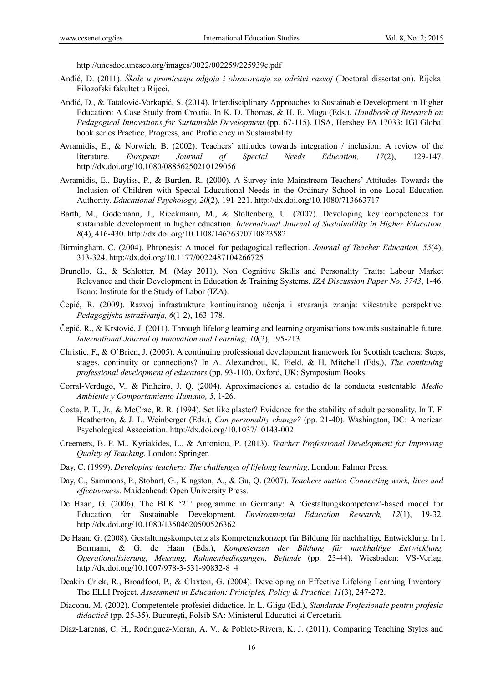http://unesdoc.unesco.org/images/0022/002259/225939e.pdf

- Anđić, D. (2011). *Škole u promicanju odgoja i obrazovanja za održivi razvoj* (Doctoral dissertation). Rijeka: Filozofski fakultet u Rijeci.
- Anđić, D., & Tatalović-Vorkapić, S. (2014). Interdisciplinary Approaches to Sustainable Development in Higher Education: A Case Study from Croatia. In K. D. Thomas, & H. E. Muga (Eds.), *Handbook of Research on Pedagogical Innovations for Sustainable Development* (pp. 67-115). USA, Hershey PA 17033: IGI Global book series Practice, Progress, and Proficiency in Sustainability.
- Avramidis, E., & Norwich, B. (2002). Teachers' attitudes towards integration / inclusion: A review of the literature. *European Journal of Special Needs Education, 17*(2), 129-147. http://dx.doi.org/10.1080/08856250210129056
- Avramidis, E., Bayliss, P., & Burden, R. (2000). A Survey into Mainstream Teachers' Attitudes Towards the Inclusion of Children with Special Educational Needs in the Ordinary School in one Local Education Authority. *Educational Psychology, 20*(2), 191-221. http://dx.doi.org/10.1080/713663717
- Barth, M., Godemann, J., Rieckmann, M., & Stoltenberg, U. (2007). Developing key competences for sustainable development in higher education. *International Journal of Sustainalility in Higher Education, 8*(4), 416-430. http://dx.doi.org/10.1108/14676370710823582
- Birmingham, C. (2004). Phronesis: A model for pedagogical reflection. *Journal of Teacher Education, 55*(4), 313-324. http://dx.doi.org/10.1177/0022487104266725
- Brunello, G., & Schlotter, M. (May 2011). Non Cognitive Skills and Personality Traits: Labour Market Relevance and their Development in Education & Training Systems. *IZA Discussion Paper No. 5743*, 1-46. Bonn: Institute for the Study of Labor (IZA).
- Čepić, R. (2009). Razvoj infrastrukture kontinuiranog učenja i stvaranja znanja: višestruke perspektive. *Pedagogijska istraživanja, 6*(1-2), 163-178.
- Čepić, R., & Krstović, J. (2011). Through lifelong learning and learning organisations towards sustainable future. *International Journal of Innovation and Learning, 10*(2), 195-213.
- Christie, F., & O'Brien, J. (2005). A continuing professional development framework for Scottish teachers: Steps, stages, continuity or connections? In A. Alexandrou, K. Field, & H. Mitchell (Eds.), *The continuing professional development of educators* (pp. 93-110). Oxford, UK: Symposium Books.
- Corral-Verdugo, V., & Pinheiro, J. Q. (2004). Aproximaciones al estudio de la conducta sustentable. *Medio Ambiente y Comportamiento Humano, 5*, 1-26.
- Costa, P. T., Jr., & McCrae, R. R. (1994). Set like plaster? Evidence for the stability of adult personality. In T. F. Heatherton, & J. L. Weinberger (Eds.), *Can personality change?* (pp. 21-40). Washington, DC: American Psychological Association. http://dx.doi.org/10.1037/10143-002
- Creemers, B. P. M., Kyriakides, L., & Antoniou, P. (2013). *Teacher Professional Development for Improving Quality of Teaching*. London: Springer.
- Day, C. (1999). *Developing teachers: The challenges of lifelong learning*. London: Falmer Press.
- Day, C., Sammons, P., Stobart, G., Kingston, A., & Gu, Q. (2007). *Teachers matter. Connecting work, lives and effectiveness*. Maidenhead: Open University Press.
- De Haan, G. (2006). The BLK '21' programme in Germany: A 'Gestaltungskompetenz'-based model for Education for Sustainable Development. *Environmental Education Research, 12*(1), 19-32. http://dx.doi.org/10.1080/13504620500526362
- De Haan, G. (2008). Gestaltungskompetenz als Kompetenzkonzept für Bildung für nachhaltige Entwicklung. In I. Bormann, & G. de Haan (Eds.), *Kompetenzen der Bildung für nachhaltige Entwicklung. Operationalisierung, Messung, Rahmenbedingungen, Befunde* (pp. 23-44). Wiesbaden: VS-Verlag. http://dx.doi.org/10.1007/978-3-531-90832-8\_4
- Deakin Crick, R., Broadfoot, P., & Claxton, G. (2004). Developing an Effective Lifelong Learning Inventory: The ELLI Project. *Assessment in Education: Principles, Policy & Practice, 11*(3), 247-272.
- Diaconu, M. (2002). Competentele profesiei didactice. In L. Gliga (Ed.), *Standarde Profesionale pentru profesia didactică* (pp. 25-35). Bucureşti, Polsib SA: Ministerul Educatici si Cercetarii.
- Díaz-Larenas, C. H., Rodríguez-Moran, A. V., & Poblete-Rivera, K. J. (2011). Comparing Teaching Styles and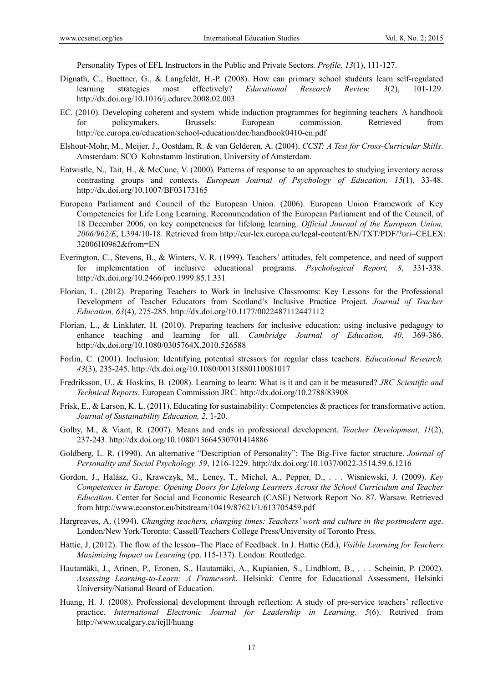Personality Types of EFL Instructors in the Public and Private Sectors. *Profile, 13*(1), 111-127.

- Dignath, C., Buettner, G., & Langfeldt, H.-P. (2008). How can primary school students learn self-regulated learning strategies most effectively? *Educational Research Review, 3*(2), 101-129. http://dx.doi.org/10.1016/j.edurev.2008.02.003
- EC. (2010). Developing coherent and system–whide induction programmes for beginning teachers–A handbook for policymakers. Brussels: European commission. Retrieved from http://ec.europa.eu/education/school-education/doc/handbook0410-en.pdf
- Elshout-Mohr, M., Meijer, J., Oostdam, R. & van Gelderen, A. (2004). *CCST: A Test for Cross-Curricular Skills*. Amsterdam: SCO–Kohnstamm Institution, University of Amsterdam.
- Entwistle, N., Tait, H., & McCune, V. (2000). Patterns of response to an approaches to studying inventory across contrasting groups and contexts. *European Journal of Psychology of Education, 15*(1), 33-48. http://dx.doi.org/10.1007/BF03173165
- European Parliament and Council of the European Union. (2006). European Union Framework of Key Competencies for Life Long Learning. Recommendation of the European Parliament and of the Council, of 18 December 2006, on key competencies for lifelong learning. *Official Journal of the European Union, 2006/962/E*, L394/10-18. Retrieved from http://eur-lex.europa.eu/legal-content/EN/TXT/PDF/?uri=CELEX: 32006H0962&from=EN
- Everington, C., Stevens, B., & Winters, V. R. (1999). Teachers' attitudes, felt competence, and need of support for implementation of inclusive educational programs. *Psychological Report, 8*, 331-338. http://dx.doi.org/10.2466/pr0.1999.85.1.331
- Florian, L. (2012). Preparing Teachers to Work in Inclusive Classrooms: Key Lessons for the Professional Development of Teacher Educators from Scotland's Inclusive Practice Project. *Journal of Teacher Education, 63*(4), 275-285. http://dx.doi.org/10.1177/0022487112447112
- Florian, L., & Linklater, H. (2010). Preparing teachers for inclusive education: using inclusive pedagogy to enhance teaching and learning for all. *Cambridge Journal of Education, 40*, 369-386. http://dx.doi.org/10.1080/0305764X.2010.526588
- Forlin, C. (2001). Inclusion: Identifying potential stressors for regular class teachers. *Educational Research, 43*(3), 235-245. http://dx.doi.org/10.1080/00131880110081017
- Fredriksson, U., & Hoskins, B. (2008). Learning to learn: What is it and can it be measured? *JRC Scientific and Technical Reports*. European Commission JRC. http://dx.doi.org/10.2788/83908
- Frisk, E., & Larson, K. L. (2011). Educating for sustainability: Competencies & practices for transformative action. *Journal of Sustainability Education, 2*, 1-20.
- Golby, M., & Viant, R. (2007). Means and ends in professional development. *Teacher Development, 11*(2), 237-243. http://dx.doi.org/10.1080/13664530701414886
- Goldberg, L. R. (1990). An alternative "Description of Personality": The Big-Five factor structure. *Journal of Personality and Social Psychology, 59*, 1216-1229. http://dx.doi.org/10.1037/0022-3514.59.6.1216
- Gordon, J., Halász, G., Krawczyk, M., Leney, T., Michel, A., Pepper, D., . . . Wisniewski, J. (2009). *Key Competences in Europe: Opening Doors for Lifelong Learners Across the School Curriculum and Teacher Education*. Center for Social and Economic Research (CASE) Network Report No. 87. Warsaw. Retrieved from http://www.econstor.eu/bitstream/10419/87621/1/613705459.pdf
- Hargreaves, A. (1994). *Changing teachers, changing times: Teachers' work and culture in the postmodern age*. London/New York/Toronto: Cassell/Teachers College Press/University of Toronto Press.
- Hattie, J. (2012). The flow of the lesson–The Place of Feedback. In J. Hattie (Ed.), *Visible Learning for Teachers: Maximizing Impact on Learning* (pp. 115-137). London: Routledge.
- Hautamäki, J., Arinen, P., Eronen, S., Hautamäki, A., Kupianien, S., Lindblom, B., . . . Scheinin, P. (2002). *Assessing Learning-to-Learn: A Framework*. Helsinki: Centre for Educational Assessment, Helsinki University/National Board of Education.
- Huang, H. J. (2008). Professional development through reflection: A study of pre-service teachers' reflective practice. *International Electronic Journal for Leadership in Learning, 5*(6). Retrived from http://www.ucalgary.ca/iejll/huang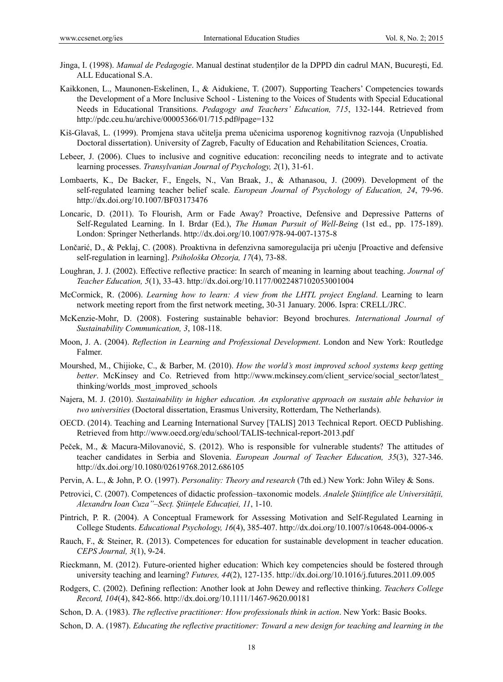- Jinga, I. (1998). *Manual de Pedagogie*. Manual destinat studenţilor de la DPPD din cadrul MAN, Bucureşti, Ed. ALL Educational S.A.
- Kaikkonen, L., Maunonen-Eskelinen, I., & Aidukiene, T. (2007). Supporting Teachers' Competencies towards the Development of a More Inclusive School - Listening to the Voices of Students with Special Educational Needs in Educational Transitions. *Pedagogy and Teachers' Education, 715*, 132-144. Retrieved from http://pdc.ceu.hu/archive/00005366/01/715.pdf#page=132
- Kiš-Glavaš, L. (1999). Promjena stava učitelja prema učenicima usporenog kognitivnog razvoja (Unpublished Doctoral dissertation). University of Zagreb, Faculty of Education and Rehabilitation Sciences, Croatia.
- Lebeer, J. (2006). Clues to inclusive and cognitive education: reconciling needs to integrate and to activate learning processes. *Transylvanian Journal of Psychology, 2*(1), 31-61.
- Lombaerts, K., De Backer, F., Engels, N., Van Braak, J., & Athanasou, J. (2009). Development of the self-regulated learning teacher belief scale. *European Journal of Psychology of Education, 24*, 79-96. http://dx.doi.org/10.1007/BF03173476
- Loncaric, D. (2011). To Flourish, Arm or Fade Away? Proactive, Defensive and Depressive Patterns of Self-Regulated Learning. In I. Brdar (Ed.), *The Human Pursuit of Well-Being* (1st ed., pp. 175-189). London: Springer Netherlands. http://dx.doi.org/10.1007/978-94-007-1375-8
- Lončarić, D., & Peklaj, C. (2008). Proaktivna in defenzivna samoregulacija pri učenju [Proactive and defensive self-regulation in learning]. *Psihološka Obzorja, 17*(4), 73-88.
- Loughran, J. J. (2002). Effective reflective practice: In search of meaning in learning about teaching. *Journal of Teacher Education, 5*(1), 33-43. http://dx.doi.org/10.1177/0022487102053001004
- McCormick, R. (2006). *Learning how to learn: A view from the LHTL project England*. Learning to learn network meeting report from the first network meeting, 30-31 January. 2006. Ispra: CRELL/JRC.
- McKenzie-Mohr, D. (2008). Fostering sustainable behavior: Beyond brochures. *International Journal of Sustainability Communication, 3*, 108-118.
- Moon, J. A. (2004). *Reflection in Learning and Professional Development*. London and New York: Routledge Falmer.
- Mourshed, M., Chijioke, C., & Barber, M. (2010). *How the world's most improved school systems keep getting better*. McKinsey and Co. Retrieved from http://www.mckinsey.com/client\_service/social\_sector/latest thinking/worlds\_most\_improved\_schools
- Najera, M. J. (2010). *Sustainability in higher education. An explorative approach on sustain able behavior in two universities* (Doctoral dissertation, Erasmus University, Rotterdam, The Netherlands).
- OECD. (2014). Teaching and Learning International Survey [TALIS] 2013 Technical Report. OECD Publishing. Retrieved from http://www.oecd.org/edu/school/TALIS-technical-report-2013.pdf
- Peček, M., & Macura-Milovanović, S. (2012). Who is responsible for vulnerable students? The attitudes of teacher candidates in Serbia and Slovenia. *European Journal of Teacher Education, 35*(3), 327-346. http://dx.doi.org/10.1080/02619768.2012.686105
- Pervin, A. L., & John, P. O. (1997). *Personality: Theory and research* (7th ed.) New York: John Wiley & Sons.
- Petrovici, C. (2007). Competences of didactic profession–taxonomic models. *Analele Ştiinţifice ale Universităţii, Alexandru Ioan Cuza"–Secţ. Ştiinţele Educaţiei, 11*, 1-10.
- Pintrich, P. R. (2004). A Conceptual Framework for Assessing Motivation and Self-Regulated Learning in College Students. *Educational Psychology, 16*(4), 385-407. http://dx.doi.org/10.1007/s10648-004-0006-x
- Rauch, F., & Steiner, R. (2013). Competences for education for sustainable development in teacher education. *CEPS Journal, 3*(1), 9-24.
- Rieckmann, M. (2012). Future-oriented higher education: Which key competencies should be fostered through university teaching and learning? *Futures, 44*(2), 127-135. http://dx.doi.org/10.1016/j.futures.2011.09.005
- Rodgers, C. (2002). Defining reflection: Another look at John Dewey and reflective thinking. *Teachers College Record, 104*(4), 842-866. http://dx.doi.org/10.1111/1467-9620.00181
- Schon, D. A. (1983). *The reflective practitioner: How professionals think in action*. New York: Basic Books.
- Schon, D. A. (1987). *Educating the reflective practitioner: Toward a new design for teaching and learning in the*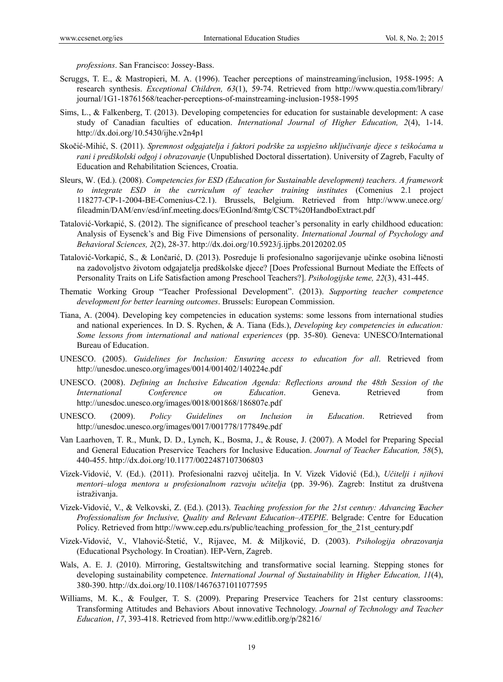*professions*. San Francisco: Jossey-Bass.

- Scruggs, T. E., & Mastropieri, M. A. (1996). Teacher perceptions of mainstreaming/inclusion, 1958-1995: A research synthesis. *Exceptional Children, 63*(1), 59-74. Retrieved from http://www.questia.com/library/ journal/1G1-18761568/teacher-perceptions-of-mainstreaming-inclusion-1958-1995
- Sims, L., & Falkenberg, T. (2013). Developing competencies for education for sustainable development: A case study of Canadian faculties of education. *International Journal of Higher Education, 2*(4), 1-14. http://dx.doi.org/10.5430/ijhe.v2n4p1
- Skočić-Mihić, S. (2011). *Spremnost odgajatelja i faktori podrške za uspješno uključivanje djece s teškoćama u rani i predškolski odgoj i obrazovanje* (Unpublished Doctoral dissertation). University of Zagreb, Faculty of Education and Rehabilitation Sciences, Croatia.
- Sleurs, W. (Ed.). (2008). *Competencies for ESD (Education for Sustainable development) teachers. A framework to integrate ESD in the curriculum of teacher training institutes* (Comenius 2.1 project 118277-CP-1-2004-BE-Comenius-C2.1). Brussels, Belgium. Retrieved from http://www.unece.org/ fileadmin/DAM/env/esd/inf.meeting.docs/EGonInd/8mtg/CSCT%20HandboExtract.pdf
- Tatalović-Vorkapić, S. (2012). The significance of preschool teacher's personality in early childhood education: Analysis of Eysenck's and Big Five Dimensions of personality. *International Journal of Psychology and Behavioral Sciences, 2*(2), 28-37. http://dx.doi.org/10.5923/j.ijpbs.20120202.05
- Tatalović-Vorkapić, S., & Lončarić, D. (2013). Posreduje li profesionalno sagorijevanje učinke osobina ličnosti na zadovoljstvo životom odgajatelja predškolske djece? [Does Professional Burnout Mediate the Effects of Personality Traits on Life Satisfaction among Preschool Teachers?]. *Psihologijske teme, 22*(3), 431-445.
- Thematic Working Group "Teacher Professional Development". (2013). *Supporting teacher competence development for better learning outcomes*. Brussels: European Commission.
- Tiana, A. (2004). Developing key competencies in education systems: some lessons from international studies and national experiences. In D. S. Rychen, & A. Tiana (Eds.), *Developing key competencies in education: Some lessons from international and national experiences* (pp. 35-80)*.* Geneva: UNESCO/International Bureau of Education.
- UNESCO. (2005). *Guidelines for Inclusion: Ensuring access to education for all*. Retrieved from http://unesdoc.unesco.org/images/0014/001402/140224e.pdf
- UNESCO. (2008). *Defining an Inclusive Education Agenda: Reflections around the 48th Session of the International Conference on Education*. Geneva. Retrieved from http://unesdoc.unesco.org/images/0018/001868/186807e.pdf
- UNESCO. (2009). *Policy Guidelines on Inclusion in Education*. Retrieved from http://unesdoc.unesco.org/images/0017/001778/177849e.pdf
- Van Laarhoven, T. R., Munk, D. D., Lynch, K., Bosma, J., & Rouse, J. (2007). A Model for Preparing Special and General Education Preservice Teachers for Inclusive Education. *Journal of Teacher Education, 58*(5), 440-455. http://dx.doi.org/10.1177/0022487107306803
- Vizek-Vidović, V. (Ed.). (2011). Profesionalni razvoj učitelja. In V. Vizek Vidović (Ed.), *Učitelji i njihovi mentori–uloga mentora u profesionalnom razvoju učitelja* (pp. 39-96). Zagreb: Institut za društvena istraživanja.
- Vizek-Vidović, V., & Velkovski, Z. (Ed.). (2013). *Teaching profession for the 21st century: Advancing Teacher Professionalism for Inclusive, Quality and Relevant Education*–*ATEPIE*. Belgrade: Centre for Education Policy. Retrieved from http://www.cep.edu.rs/public/teaching\_profession\_for\_the\_21st\_century.pdf
- Vizek-Vidović, V., Vlahović-Štetić, V., Rijavec, M. & Miljković, D. (2003). *Psihologija obrazovanja* (Educational Psychology. In Croatian). IEP-Vern, Zagreb.
- Wals, A. E. J. (2010). Mirroring, Gestaltswitching and transformative social learning. Stepping stones for developing sustainability competence. *International Journal of Sustainability in Higher Education, 11*(4), 380-390. http://dx.doi.org/10.1108/14676371011077595
- Williams, M. K., & Foulger, T. S. (2009). Preparing Preservice Teachers for 21st century classrooms: Transforming Attitudes and Behaviors About innovative Technology. *Journal of Technology and Teacher Education*, *17*, 393-418. Retrieved from http://www.editlib.org/p/28216/